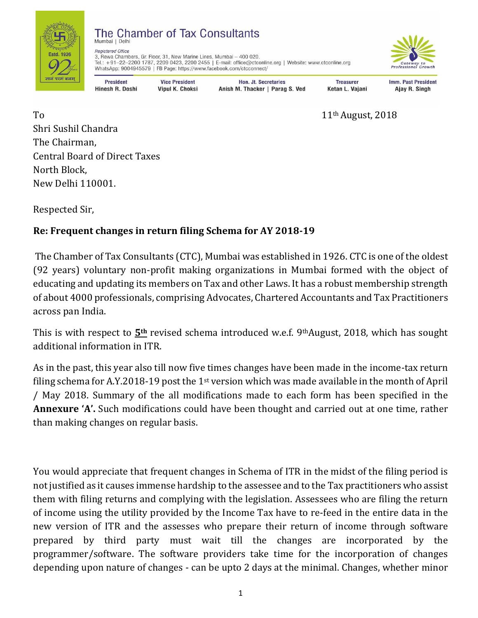

## The Chamber of Tax Consultants

**Registered Office** 3, Rewa Chambers, Gr. Floor, 31, New Marine Lines, Mumbai - 400 020. Tel.: +91-22-2200 1787, 2209 0423, 2200 2455 | E-mail: office@ctconline.org | Website: www.ctconline.org WhatsApp: 9004945579 | FB Page: https://www.facebook.com/ctcconnect/



**President** Hinesh R. Doshi

**Vice President Vipul K. Choksi** 

**Hon. Jt. Secretaries** Anish M. Thacker | Parag S. Ved

**Treasurer** Ketan L. Vajani

Imm. Past President Ajay R. Singh

To 11<sup>th</sup> August, 2018 Shri Sushil Chandra The Chairman, Central Board of Direct Taxes North Block, New Delhi 110001.

Respected Sir,

## **Re: Frequent changes in return filing Schema for AY 2018-19**

The Chamber of Tax Consultants (CTC), Mumbai was established in 1926. CTC is one of the oldest (92 years) voluntary non-profit making organizations in Mumbai formed with the object of educating and updating its members on Tax and other Laws. It has a robust membership strength of about 4000 professionals, comprising Advocates, Chartered Accountants and Tax Practitioners across pan India.

This is with respect to **5th** revised schema introduced w.e.f. 9thAugust, 2018, which has sought additional information in ITR.

As in the past, this year also till now five times changes have been made in the income-tax return filing schema for A.Y.2018-19 post the 1st version which was made available in the month of April / May 2018. Summary of the all modifications made to each form has been specified in the **Annexure 'A'.** Such modifications could have been thought and carried out at one time, rather than making changes on regular basis.

You would appreciate that frequent changes in Schema of ITR in the midst of the filing period is not justified as it causes immense hardship to the assessee and to the Tax practitioners who assist them with filing returns and complying with the legislation. Assessees who are filing the return of income using the utility provided by the Income Tax have to re-feed in the entire data in the new version of ITR and the assesses who prepare their return of income through software prepared by third party must wait till the changes are incorporated by the programmer/software. The software providers take time for the incorporation of changes depending upon nature of changes - can be upto 2 days at the minimal. Changes, whether minor